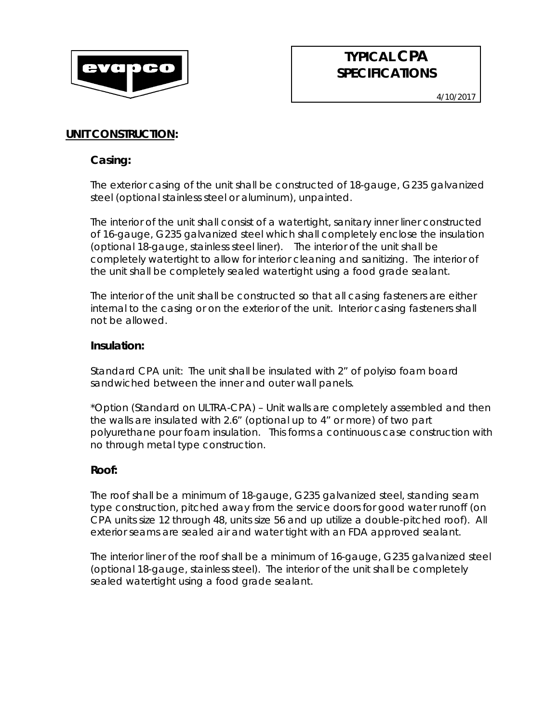

# **TYPICAL CPA SPECIFICATIONS**

# **UNIT CONSTRUCTION:**

# *Casing:*

The exterior casing of the unit shall be constructed of 18-gauge, G235 galvanized steel (optional stainless steel or aluminum), unpainted.

The interior of the unit shall consist of a watertight, sanitary inner liner constructed of 16-gauge, G235 galvanized steel which shall completely enclose the insulation (optional 18-gauge, stainless steel liner). The interior of the unit shall be completely watertight to allow for interior cleaning and sanitizing. The interior of the unit shall be completely sealed watertight using a food grade sealant.

The interior of the unit shall be constructed so that all casing fasteners are either internal to the casing or on the exterior of the unit. Interior casing fasteners shall not be allowed.

# *Insulation:*

Standard CPA unit: The unit shall be insulated with 2" of polyiso foam board sandwiched between the inner and outer wall panels.

\*Option (Standard on *ULTRA-*CPA) – Unit walls are completely assembled and then the walls are insulated with 2.6" (optional up to 4" or more) of two part polyurethane pour foam insulation. This forms a continuous case construction with no through metal type construction.

# *Roof:*

The roof shall be a minimum of 18-gauge, G235 galvanized steel, standing seam type construction, pitched away from the service doors for good water runoff (on CPA units size 12 through 48, units size 56 and up utilize a double-pitched roof). All exterior seams are sealed air and water tight with an FDA approved sealant.

The interior liner of the roof shall be a minimum of 16-gauge, G235 galvanized steel (optional 18-gauge, stainless steel). The interior of the unit shall be completely sealed watertight using a food grade sealant.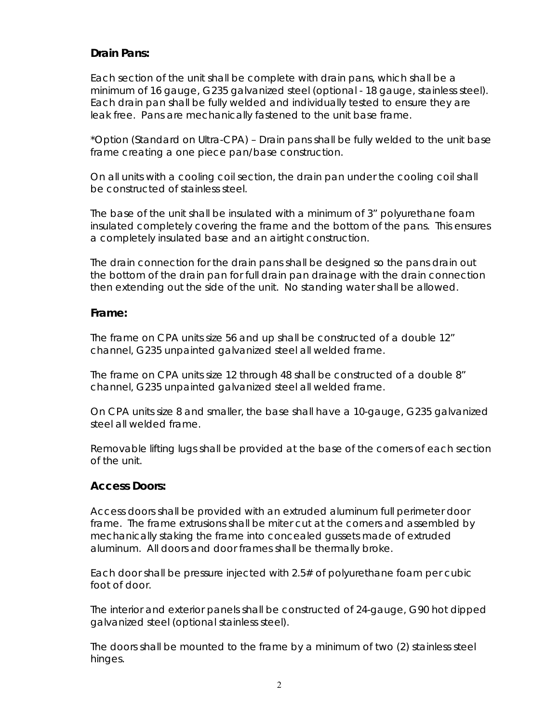# *Drain Pans:*

Each section of the unit shall be complete with drain pans, which shall be a minimum of 16 gauge, G235 galvanized steel (optional - 18 gauge, stainless steel). Each drain pan shall be fully welded and individually tested to ensure they are leak free. Pans are mechanically fastened to the unit base frame.

\*Option (Standard on *Ultra*-CPA) – Drain pans shall be fully welded to the unit base frame creating a one piece pan/base construction.

On all units with a cooling coil section, the drain pan under the cooling coil shall be constructed of stainless steel.

The base of the unit shall be insulated with a minimum of 3" polyurethane foam insulated completely covering the frame and the bottom of the pans. This ensures a completely insulated base and an airtight construction.

The drain connection for the drain pans shall be designed so the pans drain out the bottom of the drain pan for full drain pan drainage with the drain connection then extending out the side of the unit. No standing water shall be allowed.

### *Frame:*

The frame on CPA units size 56 and up shall be constructed of a double 12" channel, G235 unpainted galvanized steel all welded frame.

The frame on CPA units size 12 through 48 shall be constructed of a double 8" channel, G235 unpainted galvanized steel all welded frame.

On CPA units size 8 and smaller, the base shall have a 10-gauge, G235 galvanized steel all welded frame.

Removable lifting lugs shall be provided at the base of the corners of each section of the unit.

# *Access Doors:*

Access doors shall be provided with an extruded aluminum full perimeter door frame. The frame extrusions shall be miter cut at the corners and assembled by mechanically staking the frame into concealed gussets made of extruded aluminum. All doors and door frames shall be thermally broke.

Each door shall be pressure injected with 2.5# of polyurethane foam per cubic foot of door.

The interior and exterior panels shall be constructed of 24-gauge, G90 hot dipped galvanized steel (optional stainless steel).

The doors shall be mounted to the frame by a minimum of two (2) stainless steel hinges.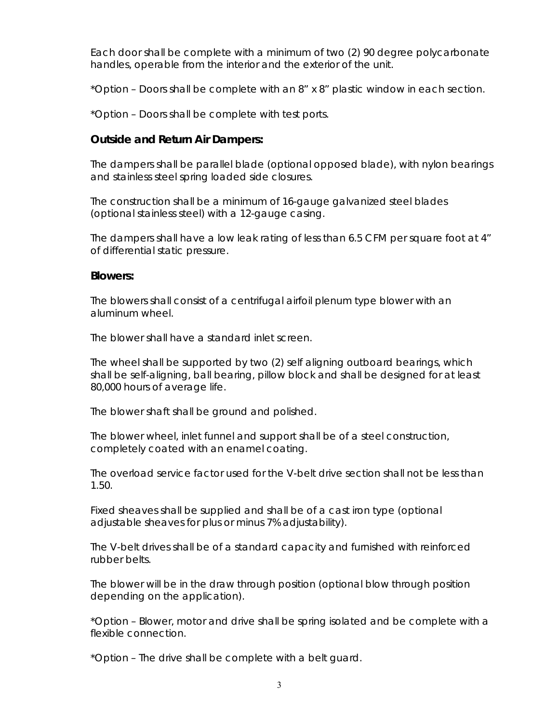Each door shall be complete with a minimum of two (2) 90 degree polycarbonate handles, operable from the interior and the exterior of the unit.

\*Option – Doors shall be complete with an 8" x 8" plastic window in each section.

\*Option – Doors shall be complete with test ports.

# *Outside and Return Air Dampers:*

The dampers shall be parallel blade (optional opposed blade), with nylon bearings and stainless steel spring loaded side closures.

The construction shall be a minimum of 16-gauge galvanized steel blades (optional stainless steel) with a 12-gauge casing.

The dampers shall have a low leak rating of less than 6.5 CFM per square foot at 4" of differential static pressure.

#### *Blowers:*

The blowers shall consist of a centrifugal airfoil plenum type blower with an aluminum wheel.

The blower shall have a standard inlet screen.

The wheel shall be supported by two (2) self aligning outboard bearings, which shall be self-aligning, ball bearing, pillow block and shall be designed for at least 80,000 hours of average life.

The blower shaft shall be ground and polished.

The blower wheel, inlet funnel and support shall be of a steel construction, completely coated with an enamel coating.

The overload service factor used for the V-belt drive section shall not be less than 1.50.

Fixed sheaves shall be supplied and shall be of a cast iron type (optional adjustable sheaves for plus or minus 7% adjustability).

The V-belt drives shall be of a standard capacity and furnished with reinforced rubber belts.

The blower will be in the draw through position (optional blow through position depending on the application).

\*Option – Blower, motor and drive shall be spring isolated and be complete with a flexible connection.

\*Option – The drive shall be complete with a belt guard.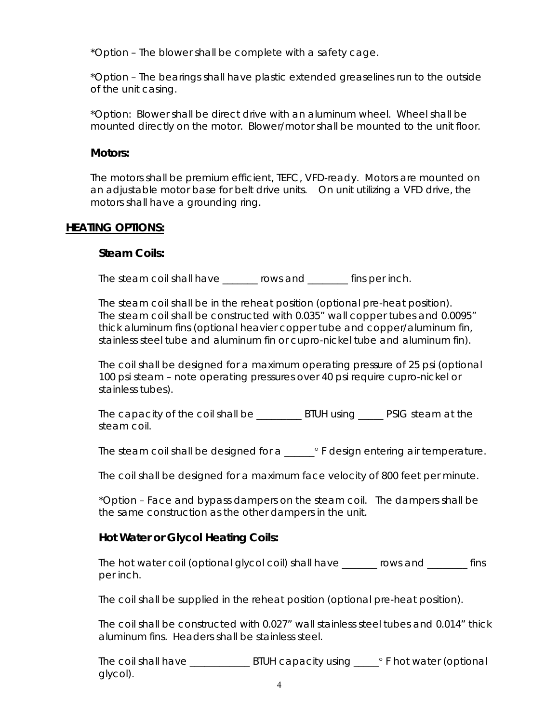\*Option – The blower shall be complete with a safety cage.

\*Option – The bearings shall have plastic extended greaselines run to the outside of the unit casing.

\*Option: Blower shall be direct drive with an aluminum wheel. Wheel shall be mounted directly on the motor. Blower/motor shall be mounted to the unit floor.

### *Motors:*

The motors shall be premium efficient, TEFC, VFD-ready. Motors are mounted on an adjustable motor base for belt drive units. On unit utilizing a VFD drive, the motors shall have a grounding ring.

### **HEATING OPTIONS:**

### *Steam Coils:*

The steam coil shall have rows and fins per inch.

The steam coil shall be in the reheat position (optional pre-heat position). The steam coil shall be constructed with 0.035" wall copper tubes and 0.0095" thick aluminum fins (optional heavier copper tube and copper/aluminum fin, stainless steel tube and aluminum fin or cupro-nickel tube and aluminum fin).

The coil shall be designed for a maximum operating pressure of 25 psi (optional 100 psi steam – note operating pressures over 40 psi require cupro-nickel or stainless tubes).

The capacity of the coil shall be \_\_\_\_\_\_\_\_\_ BTUH using \_\_\_\_\_ PSIG steam at the steam coil.

The steam coil shall be designed for a \_\_\_\_\_\_ <sup>o</sup> F design entering air temperature.

The coil shall be designed for a maximum face velocity of 800 feet per minute.

\*Option – Face and bypass dampers on the steam coil. The dampers shall be the same construction as the other dampers in the unit.

# *Hot Water or Glycol Heating Coils:*

The hot water coil (optional glycol coil) shall have rows and fins per inch.

The coil shall be supplied in the reheat position (optional pre-heat position).

The coil shall be constructed with 0.027" wall stainless steel tubes and 0.014" thick aluminum fins. Headers shall be stainless steel.

The coil shall have \_\_\_\_\_\_\_\_\_\_\_\_\_\_\_\_\_\_BTUH capacity using \_\_\_\_\_\_\_\_\_\_\_\_\_\_\_\_\_\_\_\_\_\_ F hot water (optional glycol).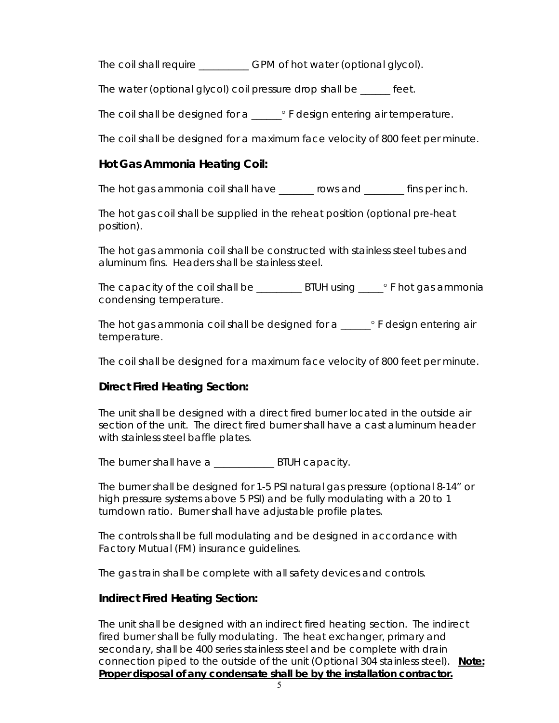The coil shall require \_\_\_\_\_\_\_\_\_\_ GPM of hot water (optional glycol).

The water (optional glycol) coil pressure drop shall be \_\_\_\_\_\_ feet.

The coil shall be designed for a \_\_\_\_\_\_° F design entering air temperature.

The coil shall be designed for a maximum face velocity of 800 feet per minute.

# *Hot Gas Ammonia Heating Coil:*

The hot gas ammonia coil shall have \_\_\_\_\_\_\_ rows and \_\_\_\_\_\_\_\_ fins per inch.

The hot gas coil shall be supplied in the reheat position (optional pre-heat position).

The hot gas ammonia coil shall be constructed with stainless steel tubes and aluminum fins. Headers shall be stainless steel.

The capacity of the coil shall be \_\_\_\_\_\_\_\_\_ BTUH using \_\_\_\_\_ ° F hot gas ammonia condensing temperature.

The hot gas ammonia coil shall be designed for  $a \rightarrow a$  F design entering air temperature.

The coil shall be designed for a maximum face velocity of 800 feet per minute.

# *Direct Fired Heating Section:*

The unit shall be designed with a direct fired burner located in the outside air section of the unit. The direct fired burner shall have a cast aluminum header with stainless steel baffle plates.

The burner shall have a \_\_\_\_\_\_\_\_\_\_\_\_\_\_ BTUH capacity.

The burner shall be designed for 1-5 PSI natural gas pressure (optional 8-14" or high pressure systems above 5 PSI) and be fully modulating with a 20 to 1 turndown ratio. Burner shall have adjustable profile plates.

The controls shall be full modulating and be designed in accordance with Factory Mutual (FM) insurance guidelines.

The gas train shall be complete with all safety devices and controls.

# *Indirect Fired Heating Section:*

The unit shall be designed with an indirect fired heating section. The indirect fired burner shall be fully modulating. The heat exchanger, primary and secondary, shall be 400 series stainless steel and be complete with drain connection piped to the outside of the unit (Optional 304 stainless steel). **Note: Proper disposal of any condensate shall be by the installation contractor.**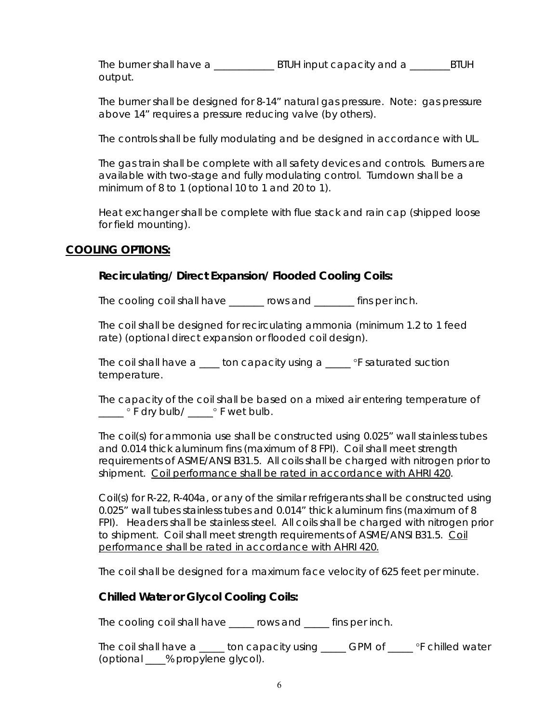The burner shall have a \_\_\_\_\_\_\_\_\_\_\_\_\_\_\_ BTUH input capacity and a \_\_\_\_\_\_\_\_\_BTUH output.

The burner shall be designed for 8-14" natural gas pressure. Note: gas pressure above 14" requires a pressure reducing valve (by others).

The controls shall be fully modulating and be designed in accordance with UL.

The gas train shall be complete with all safety devices and controls. Burners are available with two-stage and fully modulating control. Turndown shall be a minimum of 8 to 1 (optional 10 to 1 and 20 to 1).

Heat exchanger shall be complete with flue stack and rain cap (shipped loose for field mounting).

# **COOLING OPTIONS:**

# *Recirculating/ Direct Expansion/ Flooded Cooling Coils:*

The cooling coil shall have \_\_\_\_\_\_\_ rows and \_\_\_\_\_\_\_\_ fins per inch.

The coil shall be designed for recirculating ammonia (minimum 1.2 to 1 feed rate) (optional direct expansion or flooded coil design).

The coil shall have a  $\_\_\_$  ton capacity using a  $\_\_\_$  °F saturated suction temperature.

The capacity of the coil shall be based on a mixed air entering temperature of \_\_\_\_\_ F dry bulb/ \_\_\_\_\_ F wet bulb.

The coil(s) for ammonia use shall be constructed using 0.025" wall stainless tubes and 0.014 thick aluminum fins (maximum of 8 FPI). Coil shall meet strength requirements of ASME/ANSI B31.5. All coils shall be charged with nitrogen prior to shipment. Coil performance shall be rated in accordance with AHRI 420.

Coil(s) for R-22, R-404a, or any of the similar refrigerants shall be constructed using 0.025" wall tubes stainless tubes and 0.014" thick aluminum fins (maximum of 8 FPI). Headers shall be stainless steel. All coils shall be charged with nitrogen prior to shipment. Coil shall meet strength requirements of ASME/ANSI B31.5. Coil performance shall be rated in accordance with AHRI 420.

The coil shall be designed for a maximum face velocity of 625 feet per minute.

# *Chilled Water or Glycol Cooling Coils:*

The cooling coil shall have \_\_\_\_\_ rows and \_\_\_\_\_ fins per inch.

The coil shall have a \_\_\_\_\_ ton capacity using \_\_\_\_\_ GPM of \_\_\_\_ °F chilled water (optional \_\_\_\_% propylene glycol).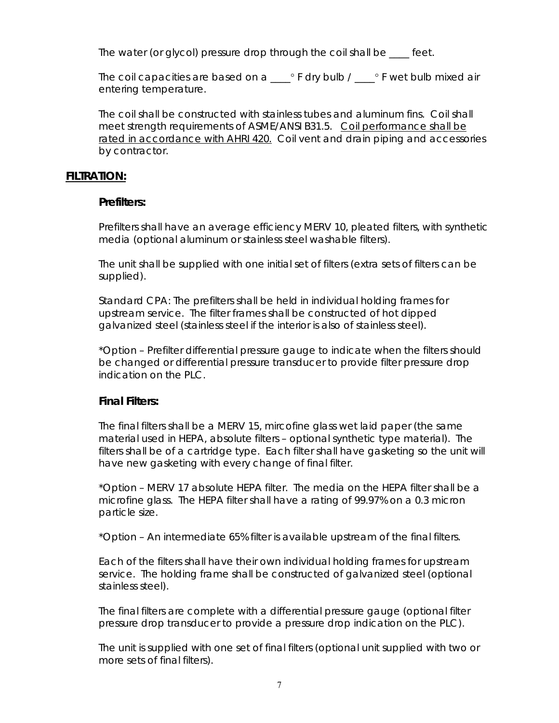The water (or glycol) pressure drop through the coil shall be feet.

The coil capacities are based on a  $\_\_\circ$  F dry bulb /  $\_\circ$  F wet bulb mixed air entering temperature.

The coil shall be constructed with stainless tubes and aluminum fins. Coil shall meet strength requirements of ASME/ANSI B31.5. Coil performance shall be rated in accordance with AHRI 420. Coil vent and drain piping and accessories by contractor.

### **FILTRATION:**

### *Prefilters:*

Prefilters shall have an average efficiency MERV 10, pleated filters, with synthetic media (optional aluminum or stainless steel washable filters).

The unit shall be supplied with one initial set of filters (extra sets of filters can be supplied).

Standard CPA: The prefilters shall be held in individual holding frames for upstream service. The filter frames shall be constructed of hot dipped galvanized steel (stainless steel if the interior is also of stainless steel).

\*Option – Prefilter differential pressure gauge to indicate when the filters should be changed or differential pressure transducer to provide filter pressure drop indication on the PLC.

# *Final Filters:*

The final filters shall be a MERV 15, mircofine glass wet laid paper (the same material used in HEPA, absolute filters – optional synthetic type material). The filters shall be of a cartridge type. Each filter shall have gasketing so the unit will have new gasketing with every change of final filter.

\*Option – MERV 17 absolute HEPA filter. The media on the HEPA filter shall be a microfine glass. The HEPA filter shall have a rating of 99.97% on a 0.3 micron particle size.

\*Option – An intermediate 65% filter is available upstream of the final filters.

Each of the filters shall have their own individual holding frames for upstream service. The holding frame shall be constructed of galvanized steel (optional stainless steel).

The final filters are complete with a differential pressure gauge (optional filter pressure drop transducer to provide a pressure drop indication on the PLC).

The unit is supplied with one set of final filters (optional unit supplied with two or more sets of final filters).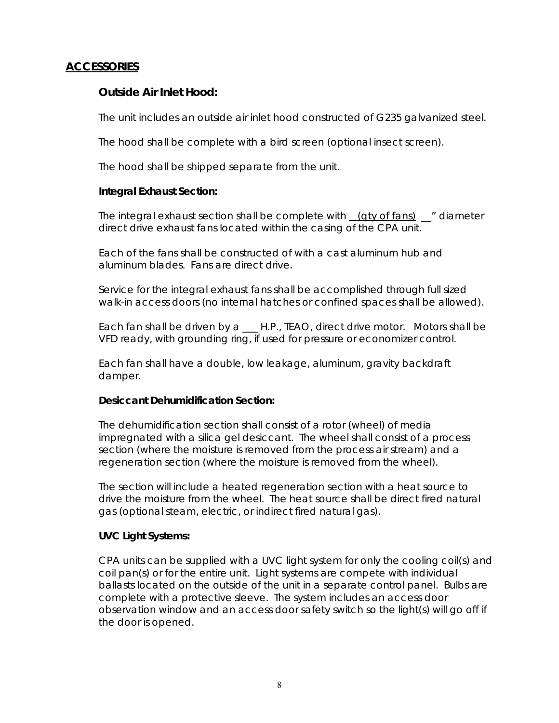# **ACCESSORIES**

# *Outside Air Inlet Hood:*

The unit includes an outside air inlet hood constructed of G235 galvanized steel.

The hood shall be complete with a bird screen (optional insect screen).

The hood shall be shipped separate from the unit.

### *Integral Exhaust Section:*

The integral exhaust section shall be complete with  $(qty$  of fans)  $"$  diameter direct drive exhaust fans located within the casing of the CPA unit.

Each of the fans shall be constructed of with a cast aluminum hub and aluminum blades. Fans are direct drive.

Service for the integral exhaust fans shall be accomplished through full sized walk-in access doors (no internal hatches or confined spaces shall be allowed).

Each fan shall be driven by a \_\_\_ H.P., TEAO, direct drive motor. Motors shall be VFD ready, with grounding ring, if used for pressure or economizer control.

Each fan shall have a double, low leakage, aluminum, gravity backdraft damper.

#### *Desiccant Dehumidification Section:*

The dehumidification section shall consist of a rotor (wheel) of media impregnated with a silica gel desiccant. The wheel shall consist of a process section (where the moisture is removed from the process air stream) and a regeneration section (where the moisture is removed from the wheel).

The section will include a heated regeneration section with a heat source to drive the moisture from the wheel. The heat source shall be direct fired natural gas (optional steam, electric, or indirect fired natural gas).

#### *UVC Light Systems:*

CPA units can be supplied with a UVC light system for only the cooling coil(s) and coil pan(s) or for the entire unit. Light systems are compete with individual ballasts located on the outside of the unit in a separate control panel. Bulbs are complete with a protective sleeve. The system includes an access door observation window and an access door safety switch so the light(s) will go off if the door is opened.